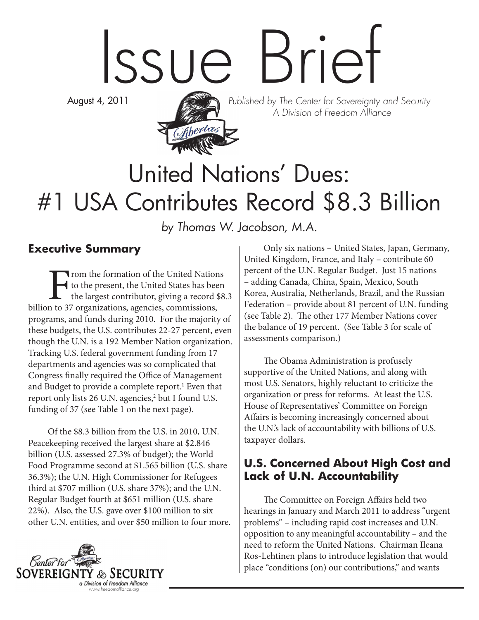# Issue Brief

August 4, 2011



Published by The Center for Sovereignty and Security A Division of Freedom Alliance

## United Nations' Dues: #1 USA Contributes Record \$8.3 Billion

by Thomas W. Jacobson, M.A.

#### **Executive Summary**

From the formation of the United Nations<br>to the present, the United States has been<br>the largest contributor, giving a record \$8<br>n to 37 organizations, agencies, commissions, to the present, the United States has been the largest contributor, giving a record \$8.3 billion to 37 organizations, agencies, commissions, programs, and funds during 2010. For the majority of these budgets, the U.S. contributes 22-27 percent, even though the U.N. is a 192 Member Nation organization. Tracking U.S. federal government funding from 17 departments and agencies was so complicated that Congress finally required the Office of Management and Budget to provide a complete report.<sup>1</sup> Even that report only lists 26 U.N. agencies,<sup>2</sup> but I found U.S. funding of 37 (see Table 1 on the next page).

Of the \$8.3 billion from the U.S. in 2010, U.N. Peacekeeping received the largest share at \$2.846 billion (U.S. assessed 27.3% of budget); the World Food Programme second at \$1.565 billion (U.S. share 36.3%); the U.N. High Commissioner for Refugees third at \$707 million (U.S. share 37%); and the U.N. Regular Budget fourth at \$651 million (U.S. share 22%). Also, the U.S. gave over \$100 million to six other U.N. entities, and over \$50 million to four more.



Only six nations – United States, Japan, Germany, United Kingdom, France, and Italy – contribute 60 percent of the U.N. Regular Budget. Just 15 nations – adding Canada, China, Spain, Mexico, South Korea, Australia, Netherlands, Brazil, and the Russian Federation – provide about 81 percent of U.N. funding (see Table 2). The other 177 Member Nations cover the balance of 19 percent. (See Table 3 for scale of assessments comparison.)

The Obama Administration is profusely supportive of the United Nations, and along with most U.S. Senators, highly reluctant to criticize the organization or press for reforms. At least the U.S. House of Representatives' Committee on Foreign Affairs is becoming increasingly concerned about the U.N.'s lack of accountability with billions of U.S. taxpayer dollars.

#### **U.S. Concerned About High Cost and Lack of U.N. Accountability**

The Committee on Foreign Affairs held two hearings in January and March 2011 to address "urgent problems" – including rapid cost increases and U.N. opposition to any meaningful accountability – and the need to reform the United Nations. Chairman Ileana Ros-Lehtinen plans to introduce legislation that would place "conditions (on) our contributions," and wants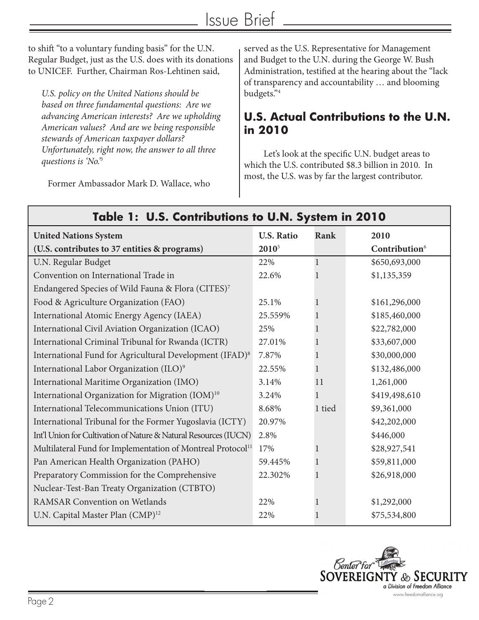to shift "to a voluntary funding basis" for the U.N. Regular Budget, just as the U.S. does with its donations to UNICEF. Further, Chairman Ros-Lehtinen said,

*U.S. policy on the United Nations should be based on three fundamental questions: Are we advancing American interests? Are we upholding American values? And are we being responsible stewards of American taxpayer dollars? Unfortunately, right now, the answer to all three questions is 'No.'*<sup>3</sup>

Former Ambassador Mark D. Wallace, who

served as the U.S. Representative for Management and Budget to the U.N. during the George W. Bush Administration, testified at the hearing about the "lack of transparency and accountability … and blooming budgets."4

#### **U.S. Actual Contributions to the U.N. in 2010**

Let's look at the specific U.N. budget areas to which the U.S. contributed \$8.3 billion in 2010. In most, the U.S. was by far the largest contributor.

| <u>rapie 1: 0.3. Contributions 10 0.14. System in ZUTU</u>              |                   |              |                           |  |  |
|-------------------------------------------------------------------------|-------------------|--------------|---------------------------|--|--|
| <b>United Nations System</b>                                            | <b>U.S. Ratio</b> | Rank         | 2010                      |  |  |
| (U.S. contributes to 37 entities & programs)                            | 2010 <sup>5</sup> |              | Contribution <sup>6</sup> |  |  |
| U.N. Regular Budget                                                     | 22%               | $\mathbf{1}$ | \$650,693,000             |  |  |
| Convention on International Trade in                                    | 22.6%             | 1            | \$1,135,359               |  |  |
| Endangered Species of Wild Fauna & Flora (CITES)7                       |                   |              |                           |  |  |
| Food & Agriculture Organization (FAO)                                   | 25.1%             | 1            | \$161,296,000             |  |  |
| International Atomic Energy Agency (IAEA)                               | 25.559%           | 1            | \$185,460,000             |  |  |
| International Civil Aviation Organization (ICAO)                        | 25%               | 1            | \$22,782,000              |  |  |
| International Criminal Tribunal for Rwanda (ICTR)                       | 27.01%            | 1            | \$33,607,000              |  |  |
| International Fund for Agricultural Development (IFAD) <sup>8</sup>     | 7.87%             | 1            | \$30,000,000              |  |  |
| International Labor Organization (ILO) <sup>9</sup>                     | 22.55%            | $\mathbf{1}$ | \$132,486,000             |  |  |
| International Maritime Organization (IMO)                               | 3.14%             | 11           | 1,261,000                 |  |  |
| International Organization for Migration (IOM) <sup>10</sup>            | 3.24%             | 1            | \$419,498,610             |  |  |
| International Telecommunications Union (ITU)                            | 8.68%             | 1 tied       | \$9,361,000               |  |  |
| International Tribunal for the Former Yugoslavia (ICTY)                 | 20.97%            |              | \$42,202,000              |  |  |
| Int'l Union for Cultivation of Nature & Natural Resources (IUCN)        | 2.8%              |              | \$446,000                 |  |  |
| Multilateral Fund for Implementation of Montreal Protocol <sup>11</sup> | 17%               |              | \$28,927,541              |  |  |
| Pan American Health Organization (PAHO)                                 | 59.445%           | 1            | \$59,811,000              |  |  |
| Preparatory Commission for the Comprehensive                            | 22.302%           | 1            | \$26,918,000              |  |  |
| Nuclear-Test-Ban Treaty Organization (CTBTO)                            |                   |              |                           |  |  |
| <b>RAMSAR Convention on Wetlands</b>                                    | 22%               |              | \$1,292,000               |  |  |
| U.N. Capital Master Plan (CMP) <sup>12</sup>                            | 22%               | -1           | \$75,534,800              |  |  |



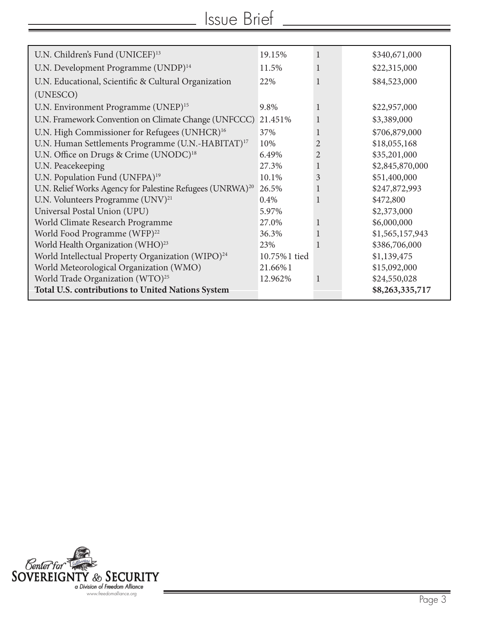| U.N. Children's Fund (UNICEF) <sup>13</sup>                           | 19.15%       | 1              | \$340,671,000   |
|-----------------------------------------------------------------------|--------------|----------------|-----------------|
| U.N. Development Programme (UNDP) <sup>14</sup>                       | 11.5%        | 1              | \$22,315,000    |
| U.N. Educational, Scientific & Cultural Organization                  | 22%          |                | \$84,523,000    |
| (UNESCO)                                                              |              |                |                 |
| U.N. Environment Programme (UNEP) <sup>15</sup>                       | 9.8%         | $\mathbf{1}$   | \$22,957,000    |
| U.N. Framework Convention on Climate Change (UNFCCC)                  | 21.451%      | $\mathbf{1}$   | \$3,389,000     |
| U.N. High Commissioner for Refugees (UNHCR) <sup>16</sup>             | 37%          | 1              | \$706,879,000   |
| U.N. Human Settlements Programme (U.N.-HABITAT) <sup>17</sup>         | 10%          | $\overline{2}$ | \$18,055,168    |
| U.N. Office on Drugs & Crime (UNODC) <sup>18</sup>                    | 6.49%        | $\overline{2}$ | \$35,201,000    |
| U.N. Peacekeeping                                                     | 27.3%        | 1              | \$2,845,870,000 |
| U.N. Population Fund (UNFPA) <sup>19</sup>                            | 10.1%        | $\mathfrak{Z}$ | \$51,400,000    |
| U.N. Relief Works Agency for Palestine Refugees (UNRWA) <sup>20</sup> | 26.5%        | 1              | \$247,872,993   |
| U.N. Volunteers Programme (UNV) <sup>21</sup>                         | 0.4%         | $\mathbf{1}$   | \$472,800       |
| Universal Postal Union (UPU)                                          | 5.97%        |                | \$2,373,000     |
| World Climate Research Programme                                      | 27.0%        | 1              | \$6,000,000     |
| World Food Programme (WFP) <sup>22</sup>                              | 36.3%        |                | \$1,565,157,943 |
| World Health Organization (WHO) <sup>23</sup>                         | 23%          |                | \$386,706,000   |
| World Intellectual Property Organization (WIPO) <sup>24</sup>         | 10.75%1 tied |                | \$1,139,475     |
| World Meteorological Organization (WMO)                               | 21.66%1      |                | \$15,092,000    |
| World Trade Organization (WTO) <sup>25</sup>                          | 12.962%      |                | \$24,550,028    |
| Total U.S. contributions to United Nations System                     |              |                | \$8,263,335,717 |
|                                                                       |              |                |                 |

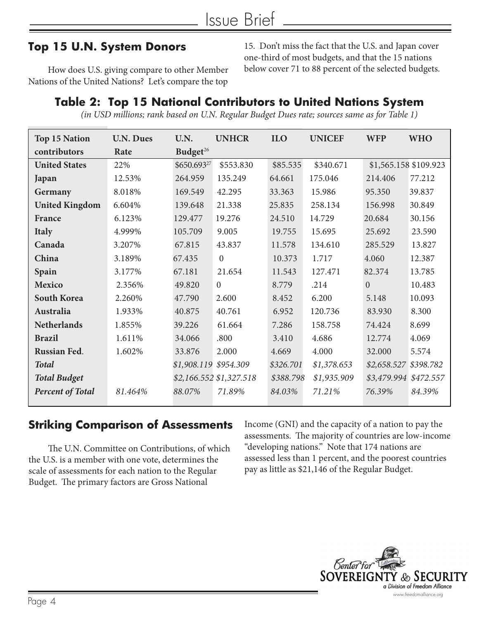#### **Top 15 U.N. System Donors**

How does U.S. giving compare to other Member Nations of the United Nations? Let's compare the top

15. Don't miss the fact that the U.S. and Japan cover one-third of most budgets, and that the 15 nations below cover 71 to 88 percent of the selected budgets.

#### **Table 2: Top 15 National Contributors to United Nations System**

*(in USD millions; rank based on U.N. Regular Budget Dues rate; sources same as for Table 1)*

| <b>Top 15 Nation</b>    | <b>U.N. Dues</b> | U.N.                  | <b>UNHCR</b>            | <b>ILO</b> | <b>UNICEF</b> | <b>WFP</b>            | <b>WHO</b> |
|-------------------------|------------------|-----------------------|-------------------------|------------|---------------|-----------------------|------------|
| contributors            | Rate             | Budget <sup>26</sup>  |                         |            |               |                       |            |
| <b>United States</b>    | 22%              | \$650.69327           | \$553.830               | \$85.535   | \$340.671     | \$1,565.158 \$109.923 |            |
| Japan                   | 12.53%           | 264.959               | 135.249                 | 64.661     | 175.046       | 214.406               | 77.212     |
| Germany                 | 8.018%           | 169.549               | 42.295                  | 33.363     | 15.986        | 95.350                | 39.837     |
| <b>United Kingdom</b>   | 6.604%           | 139.648               | 21.338                  | 25.835     | 258.134       | 156.998               | 30.849     |
| <b>France</b>           | 6.123%           | 129.477               | 19.276                  | 24.510     | 14.729        | 20.684                | 30.156     |
| <b>Italy</b>            | 4.999%           | 105.709               | 9.005                   | 19.755     | 15.695        | 25.692                | 23.590     |
| Canada                  | 3.207%           | 67.815                | 43.837                  | 11.578     | 134.610       | 285.529               | 13.827     |
| China                   | 3.189%           | 67.435                | $\overline{0}$          | 10.373     | 1.717         | 4.060                 | 12.387     |
| Spain                   | 3.177%           | 67.181                | 21.654                  | 11.543     | 127.471       | 82.374                | 13.785     |
| <b>Mexico</b>           | 2.356%           | 49.820                | $\overline{0}$          | 8.779      | .214          | $\overline{0}$        | 10.483     |
| <b>South Korea</b>      | 2.260%           | 47.790                | 2.600                   | 8.452      | 6.200         | 5.148                 | 10.093     |
| Australia               | 1.933%           | 40.875                | 40.761                  | 6.952      | 120.736       | 83.930                | 8.300      |
| <b>Netherlands</b>      | 1.855%           | 39.226                | 61.664                  | 7.286      | 158.758       | 74.424                | 8.699      |
| <b>Brazil</b>           | 1.611%           | 34.066                | .800                    | 3.410      | 4.686         | 12.774                | 4.069      |
| <b>Russian Fed.</b>     | 1.602%           | 33.876                | 2.000                   | 4.669      | 4.000         | 32.000                | 5.574      |
| <b>Total</b>            |                  | \$1,908.119 \$954.309 |                         | \$326.701  | \$1,378.653   | \$2,658.527 \$398.782 |            |
| <b>Total Budget</b>     |                  |                       | \$2,166.552 \$1,327.518 | \$388.798  | \$1,935.909   | \$3,479.994 \$472.557 |            |
| <b>Percent of Total</b> | 81.464%          | 88.07%                | 71.89%                  | 84.03%     | 71.21%        | 76.39%                | 84.39%     |
|                         |                  |                       |                         |            |               |                       |            |

#### **Striking Comparison of Assessments**

The U.N. Committee on Contributions, of which the U.S. is a member with one vote, determines the scale of assessments for each nation to the Regular Budget. The primary factors are Gross National

Income (GNI) and the capacity of a nation to pay the assessments. The majority of countries are low-income "developing nations." Note that 174 nations are assessed less than 1 percent, and the poorest countries pay as little as \$21,146 of the Regular Budget.

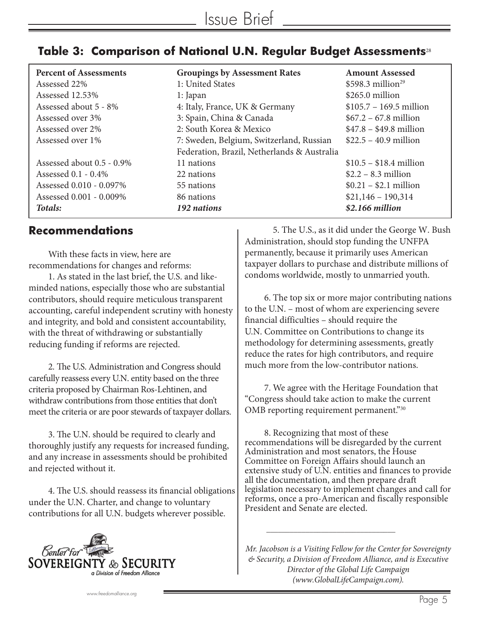|  | Table 3: $\,$ Comparison of National U.N. Regular Budget Assessments $^{_{28}}$ |  |  |  |  |
|--|---------------------------------------------------------------------------------|--|--|--|--|
|--|---------------------------------------------------------------------------------|--|--|--|--|

| <b>Percent of Assessments</b> | <b>Groupings by Assessment Rates</b>        | <b>Amount Assessed</b>         |
|-------------------------------|---------------------------------------------|--------------------------------|
| Assessed 22%                  | 1: United States                            | $$598.3$ million <sup>29</sup> |
| Assessed 12.53%               | 1: Japan                                    | $$265.0$ million               |
| Assessed about 5 - 8%         | 4: Italy, France, UK & Germany              | $$105.7 - 169.5$ million       |
| Assessed over 3%              | 3: Spain, China & Canada                    | $$67.2 - 67.8$ million         |
| Assessed over 2%              | 2: South Korea & Mexico                     | $$47.8 - $49.8$ million        |
| Assessed over 1%              | 7: Sweden, Belgium, Switzerland, Russian    | $$22.5 - 40.9$ million         |
|                               | Federation, Brazil, Netherlands & Australia |                                |
| Assessed about 0.5 - 0.9%     | 11 nations                                  | $$10.5 - $18.4$ million        |
| Assessed 0.1 - 0.4%           | 22 nations                                  | $$2.2 - 8.3$ million           |
| Assessed 0.010 - 0.097%       | 55 nations                                  | $$0.21 - $2.1$ million         |
| Assessed 0.001 - 0.009%       | 86 nations                                  | $$21,146 - 190,314$            |
| Totals:                       | 192 nations                                 | \$2.166 million                |

#### **Recommendations**

With these facts in view, here are recommendations for changes and reforms:

1. As stated in the last brief, the U.S. and likeminded nations, especially those who are substantial contributors, should require meticulous transparent accounting, careful independent scrutiny with honesty and integrity, and bold and consistent accountability, with the threat of withdrawing or substantially reducing funding if reforms are rejected.

2. The U.S. Administration and Congress should carefully reassess every U.N. entity based on the three criteria proposed by Chairman Ros-Lehtinen, and withdraw contributions from those entities that don't meet the criteria or are poor stewards of taxpayer dollars.

3. The U.N. should be required to clearly and thoroughly justify any requests for increased funding, and any increase in assessments should be prohibited and rejected without it.

4. The U.S. should reassess its financial obligations under the U.N. Charter, and change to voluntary contributions for all U.N. budgets wherever possible.



 5. The U.S., as it did under the George W. Bush Administration, should stop funding the UNFPA permanently, because it primarily uses American taxpayer dollars to purchase and distribute millions of condoms worldwide, mostly to unmarried youth.

6. The top six or more major contributing nations to the U.N. – most of whom are experiencing severe financial difficulties – should require the U.N. Committee on Contributions to change its methodology for determining assessments, greatly reduce the rates for high contributors, and require much more from the low-contributor nations.

7. We agree with the Heritage Foundation that "Congress should take action to make the current OMB reporting requirement permanent."<sup>30</sup>

8. Recognizing that most of these recommendations will be disregarded by the current Administration and most senators, the House Committee on Foreign Affairs should launch an extensive study of U.N. entities and finances to provide all the documentation, and then prepare draft legislation necessary to implement changes and call for reforms, once a pro-American and fiscally responsible President and Senate are elected.

*Mr. Jacobson is a Visiting Fellow for the Center for Sovereignty & Security, a Division of Freedom Alliance, and is Executive Director of the Global Life Campaign (www.GlobalLifeCampaign.com).* 

\_\_\_\_\_\_\_\_\_\_\_\_\_\_\_\_\_\_\_\_\_\_\_\_\_\_\_\_\_\_\_\_\_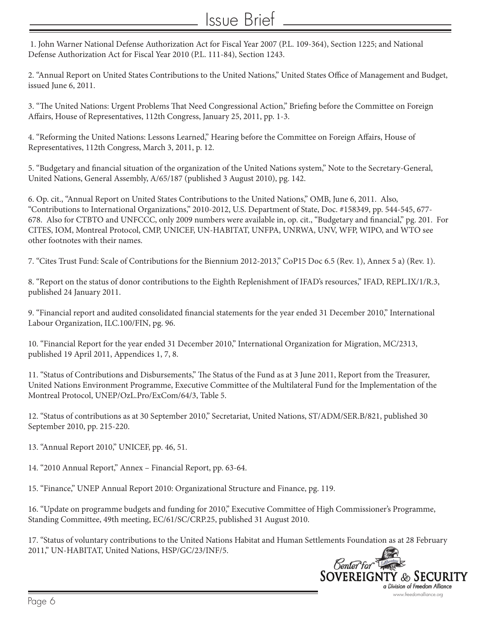### Issue Brief

 1. John Warner National Defense Authorization Act for Fiscal Year 2007 (P.L. 109-364), Section 1225; and National Defense Authorization Act for Fiscal Year 2010 (P.L. 111-84), Section 1243.

2. "Annual Report on United States Contributions to the United Nations," United States Office of Management and Budget, issued June 6, 2011.

3. "The United Nations: Urgent Problems That Need Congressional Action," Briefing before the Committee on Foreign Affairs, House of Representatives, 112th Congress, January 25, 2011, pp. 1-3.

4. "Reforming the United Nations: Lessons Learned," Hearing before the Committee on Foreign Affairs, House of Representatives, 112th Congress, March 3, 2011, p. 12.

5. "Budgetary and financial situation of the organization of the United Nations system," Note to the Secretary-General, United Nations, General Assembly, A/65/187 (published 3 August 2010), pg. 142.

6. Op. cit., "Annual Report on United States Contributions to the United Nations," OMB, June 6, 2011. Also, "Contributions to International Organizations," 2010-2012, U.S. Department of State, Doc. #158349, pp. 544-545, 677- 678. Also for CTBTO and UNFCCC, only 2009 numbers were available in, op. cit., "Budgetary and financial," pg. 201. For CITES, IOM, Montreal Protocol, CMP, UNICEF, UN-HABITAT, UNFPA, UNRWA, UNV, WFP, WIPO, and WTO see other footnotes with their names.

7. "Cites Trust Fund: Scale of Contributions for the Biennium 2012-2013," CoP15 Doc 6.5 (Rev. 1), Annex 5 a) (Rev. 1).

8. "Report on the status of donor contributions to the Eighth Replenishment of IFAD's resources," IFAD, REPL.IX/1/R.3, published 24 January 2011.

9. "Financial report and audited consolidated financial statements for the year ended 31 December 2010," International Labour Organization, ILC.100/FIN, pg. 96.

10. "Financial Report for the year ended 31 December 2010," International Organization for Migration, MC/2313, published 19 April 2011, Appendices 1, 7, 8.

11. "Status of Contributions and Disbursements," The Status of the Fund as at 3 June 2011, Report from the Treasurer, United Nations Environment Programme, Executive Committee of the Multilateral Fund for the Implementation of the Montreal Protocol, UNEP/OzL.Pro/ExCom/64/3, Table 5.

12. "Status of contributions as at 30 September 2010," Secretariat, United Nations, ST/ADM/SER.B/821, published 30 September 2010, pp. 215-220.

13. "Annual Report 2010," UNICEF, pp. 46, 51.

14. "2010 Annual Report," Annex – Financial Report, pp. 63-64.

15. "Finance," UNEP Annual Report 2010: Organizational Structure and Finance, pg. 119.

16. "Update on programme budgets and funding for 2010," Executive Committee of High Commissioner's Programme, Standing Committee, 49th meeting, EC/61/SC/CRP.25, published 31 August 2010.

17. "Status of voluntary contributions to the United Nations Habitat and Human Settlements Foundation as at 28 February 2011," UN-HABITAT, United Nations, HSP/GC/23/INF/5.